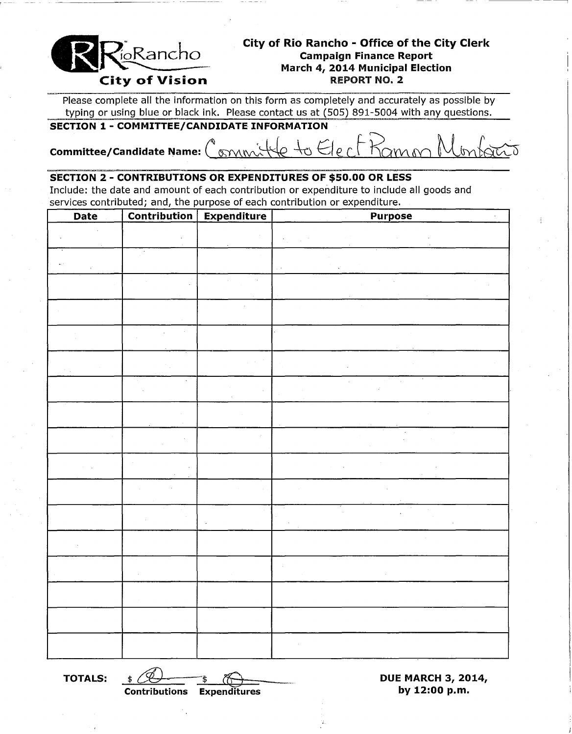

## **City of Rio Rancho - Office of the City Clerk Campaign Finance Report March 4, 2014 Municipal Election**

Please complete all the information on this form as completely and accurately as possible by typing or using blue or black ink. Please contact us at (505) 891-5004 with any questions.

### **SECTION 1 - COMMITTEE/CANDIDATE INFORMATION**

# **Committee/Candidate Name: C**ommittee/Candidate Name: Committee

#### **SECTION 2 - CONTRIBUTIONS OR EXPENDITURES OF \$50.00 OR LESS**

Include: the date and amount of each contribution or expenditure to include all goods and services contributed; and, the purpose of each contribution or expenditure.

| Date | <b>Contribution</b> | <b>Expenditure</b> | <b>Purpose</b> |
|------|---------------------|--------------------|----------------|
|      |                     |                    |                |
|      |                     |                    |                |
|      |                     |                    |                |
|      |                     |                    |                |
|      |                     |                    |                |
|      |                     |                    |                |
|      | $\mathcal{L}$       |                    | ÷.             |
|      |                     |                    |                |
|      |                     |                    |                |
|      |                     |                    |                |
|      |                     |                    |                |
|      |                     |                    |                |
|      |                     |                    |                |
|      |                     |                    |                |
|      |                     |                    |                |
|      |                     |                    |                |
|      |                     |                    |                |

**TOTALS:**  $\frac{\sqrt[6]{6}}{200}$   $\frac{\sqrt[6]{6}}{200}$   $\frac{\sqrt[6]{6}}{200}$  **DUE MARCH 3, 2014, by 12:00 p.m. Contributions Expenditures by 12:00 p.m.**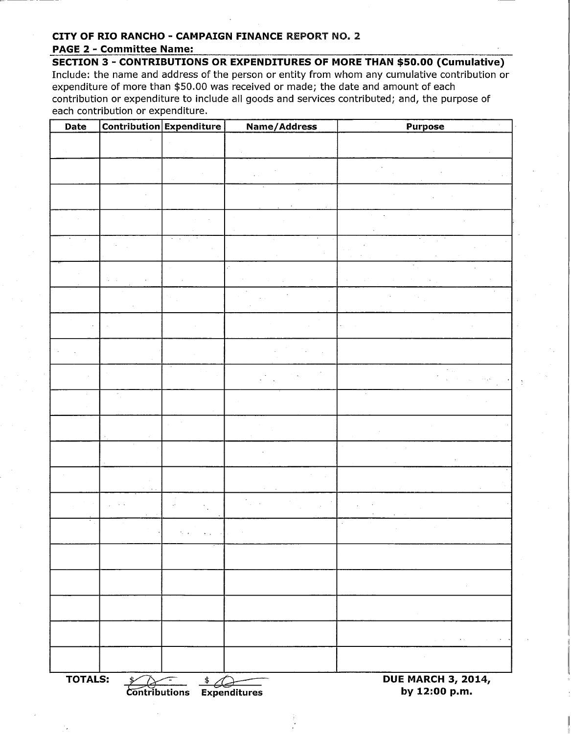### **CITY OF RIO RANCHO - CAMPAIGN FINANCE** REPORT NO.2

#### **PAGE 2 - Committee Name:**

**SECTION 3 - CONTRIBUTIONS OR EXPENDITURES OF MORE THAN \$50.00 (Cumulative)**  Include: the name and address of the person or entity from whom any cumulative contribution or expenditure of more than \$50.00 was received or made; the date and amount of each contribution or expenditure to include all goods and services contributed; and, the purpose of each contribution or expenditure.

| Date           |                             | <b>Contribution Expenditure</b>                                      | <b>Name/Address</b>                        | <b>Purpose</b>                                                                                                                                  |
|----------------|-----------------------------|----------------------------------------------------------------------|--------------------------------------------|-------------------------------------------------------------------------------------------------------------------------------------------------|
|                |                             |                                                                      |                                            |                                                                                                                                                 |
|                |                             |                                                                      |                                            |                                                                                                                                                 |
|                |                             |                                                                      |                                            |                                                                                                                                                 |
|                |                             |                                                                      |                                            |                                                                                                                                                 |
|                |                             |                                                                      |                                            |                                                                                                                                                 |
|                |                             |                                                                      |                                            |                                                                                                                                                 |
|                |                             |                                                                      |                                            |                                                                                                                                                 |
|                |                             |                                                                      |                                            |                                                                                                                                                 |
|                |                             |                                                                      |                                            |                                                                                                                                                 |
|                |                             |                                                                      |                                            |                                                                                                                                                 |
|                |                             |                                                                      |                                            |                                                                                                                                                 |
|                |                             |                                                                      |                                            |                                                                                                                                                 |
|                |                             |                                                                      |                                            |                                                                                                                                                 |
|                |                             |                                                                      |                                            |                                                                                                                                                 |
|                |                             |                                                                      |                                            |                                                                                                                                                 |
|                |                             |                                                                      |                                            |                                                                                                                                                 |
|                |                             |                                                                      |                                            |                                                                                                                                                 |
|                |                             |                                                                      |                                            | $\sim$                                                                                                                                          |
|                |                             |                                                                      |                                            | $\sim 0.01$                                                                                                                                     |
|                |                             |                                                                      |                                            | $\mathcal{L}^{\mathcal{L}}(\mathcal{A},\mathcal{C})$ , where $\mathcal{L}^{\mathcal{L}}(\mathcal{A},\mathcal{C})$<br>$\alpha_{\rm c} \sim 10^4$ |
|                |                             |                                                                      |                                            | $\sim$ $\sim$                                                                                                                                   |
| <b>TOTALS:</b> | \$∕<br><b>Contributions</b> | $\begin{array}{c}\n\updownarrow \\ \hline\n\end{array}$ Expenditures | <b>DUE MARCH 3, 2014,</b><br>by 12:00 p.m. |                                                                                                                                                 |